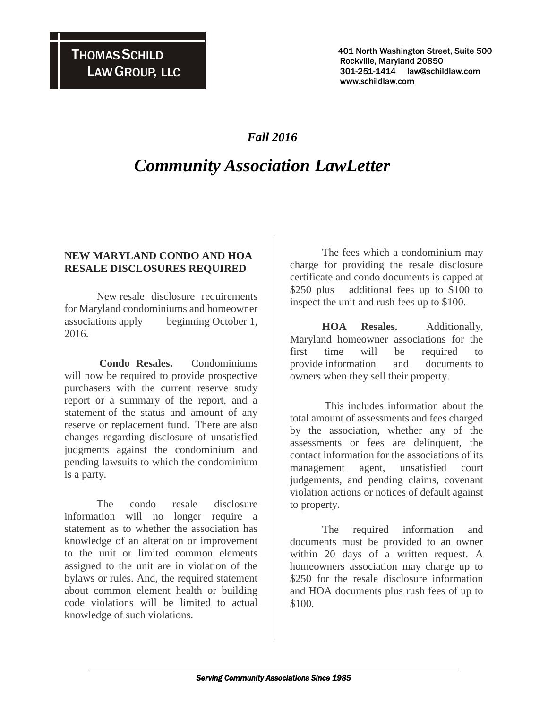401 North Washington Street, Suite 500 Rockville, Maryland 20850 301-251-1414 law@schildlaw.com www.schildlaw.com

### *Fall 2016*

# *Community Association LawLetter*

### **NEW MARYLAND CONDO AND HOA RESALE DISCLOSURES REQUIRED**

New resale disclosure requirements for Maryland condominiums and homeowner associations apply beginning October 1, 2016.

**Condo Resales.** Condominiums will now be required to provide prospective purchasers with the current reserve study report or a summary of the report, and a statement of the status and amount of any reserve or replacement fund. There are also changes regarding disclosure of unsatisfied judgments against the condominium and pending lawsuits to which the condominium is a party.

The condo resale disclosure information will no longer require a statement as to whether the association has knowledge of an alteration or improvement to the unit or limited common elements assigned to the unit are in violation of the bylaws or rules. And, the required statement about common element health or building code violations will be limited to actual knowledge of such violations.

The fees which a condominium may charge for providing the resale disclosure certificate and condo documents is capped at \$250 plus additional fees up to \$100 to inspect the unit and rush fees up to \$100.

**HOA Resales.** Additionally, Maryland homeowner associations for the first time will be required to provide information and documents to owners when they sell their property.

This includes information about the total amount of assessments and fees charged by the association, whether any of the assessments or fees are delinquent, the contact information for the associations of its management agent, unsatisfied court judgements, and pending claims, covenant violation actions or notices of default against to property.

The required information and documents must be provided to an owner within 20 days of a written request. A homeowners association may charge up to \$250 for the resale disclosure information and HOA documents plus rush fees of up to \$100.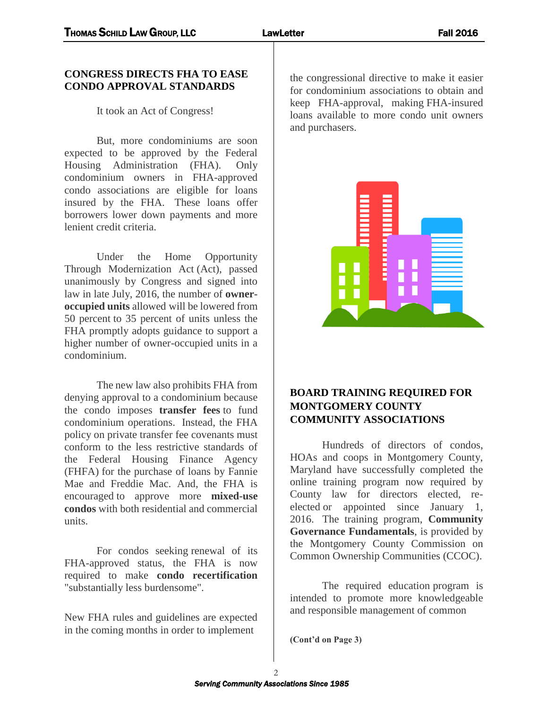#### **CONGRESS DIRECTS FHA TO EASE CONDO APPROVAL STANDARDS**

It took an Act of Congress!

But, more condominiums are soon expected to be approved by the Federal Housing Administration (FHA). Only condominium owners in FHA-approved condo associations are eligible for loans insured by the FHA. These loans offer borrowers lower down payments and more lenient credit criteria.

Under the Home Opportunity Through Modernization Act (Act), passed unanimously by Congress and signed into law in late July, 2016, the number of **owneroccupied units** allowed will be lowered from 50 percent to 35 percent of units unless the FHA promptly adopts guidance to support a higher number of owner-occupied units in a condominium.

The new law also prohibits FHA from denying approval to a condominium because the condo imposes **transfer fees** to fund condominium operations. Instead, the FHA policy on private transfer fee covenants must conform to the less restrictive standards of the Federal Housing Finance Agency (FHFA) for the purchase of loans by Fannie Mae and Freddie Mac. And, the FHA is encouraged to approve more **mixed-use condos** with both residential and commercial units.

For condos seeking renewal of its FHA-approved status, the FHA is now required to make **condo recertification** "substantially less burdensome".

New FHA rules and guidelines are expected in the coming months in order to implement

the congressional directive to make it easier for condominium associations to obtain and keep FHA-approval, making FHA-insured loans available to more condo unit owners and purchasers.



### **BOARD TRAINING REQUIRED FOR MONTGOMERY COUNTY COMMUNITY ASSOCIATIONS**

Hundreds of directors of condos, HOAs and coops in Montgomery County, Maryland have successfully completed the online training program now required by County law for directors elected, reelected or appointed since January 1, 2016. The training program, **Community Governance Fundamentals**, is provided by the Montgomery County Commission on Common Ownership Communities (CCOC).

The required education program is intended to promote more knowledgeable and responsible management of common

**(Cont'd on Page 3)**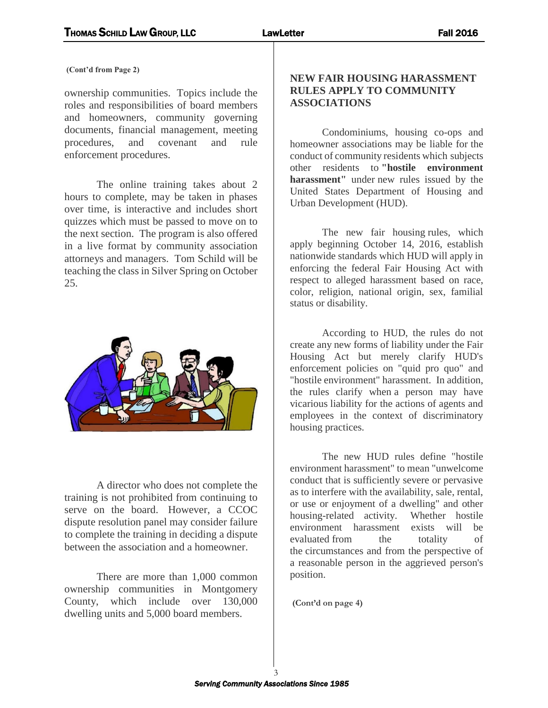**(Cont'd from Page 2)**

ownership communities. Topics include the roles and responsibilities of board members and homeowners, community governing documents, financial management, meeting procedures, and covenant and rule enforcement procedures.

The online training takes about 2 hours to complete, may be taken in phases over time, is interactive and includes short quizzes which must be passed to move on to the next section. The program is also offered in a live format by community association attorneys and managers. Tom Schild will be teaching the class in Silver Spring on October 25.



A director who does not complete the training is not prohibited from continuing to serve on the board. However, a CCOC dispute resolution panel may consider failure to complete the training in deciding a dispute between the association and a homeowner.

There are more than 1,000 common ownership communities in Montgomery County, which include over 130,000 dwelling units and 5,000 board members.

#### **NEW FAIR HOUSING HARASSMENT RULES APPLY TO COMMUNITY ASSOCIATIONS**

Condominiums, housing co-ops and homeowner associations may be liable for the conduct of community residents which subjects other residents to **"hostile environment harassment"** under new rules issued by the United States Department of Housing and Urban Development (HUD).

The new fair housing rules, which apply beginning October 14, 2016, establish nationwide standards which HUD will apply in enforcing the federal Fair Housing Act with respect to alleged harassment based on race, color, religion, national origin, sex, familial status or disability.

According to HUD, the rules do not create any new forms of liability under the Fair Housing Act but merely clarify HUD's enforcement policies on "quid pro quo" and "hostile environment" harassment. In addition, the rules clarify when a person may have vicarious liability for the actions of agents and employees in the context of discriminatory housing practices.

The new HUD rules define "hostile environment harassment" to mean "unwelcome conduct that is sufficiently severe or pervasive as to interfere with the availability, sale, rental, or use or enjoyment of a dwelling" and other housing-related activity. Whether hostile environment harassment exists will be evaluated from the totality of the circumstances and from the perspective of a reasonable person in the aggrieved person's position.

**(Cont'd on page 4)**